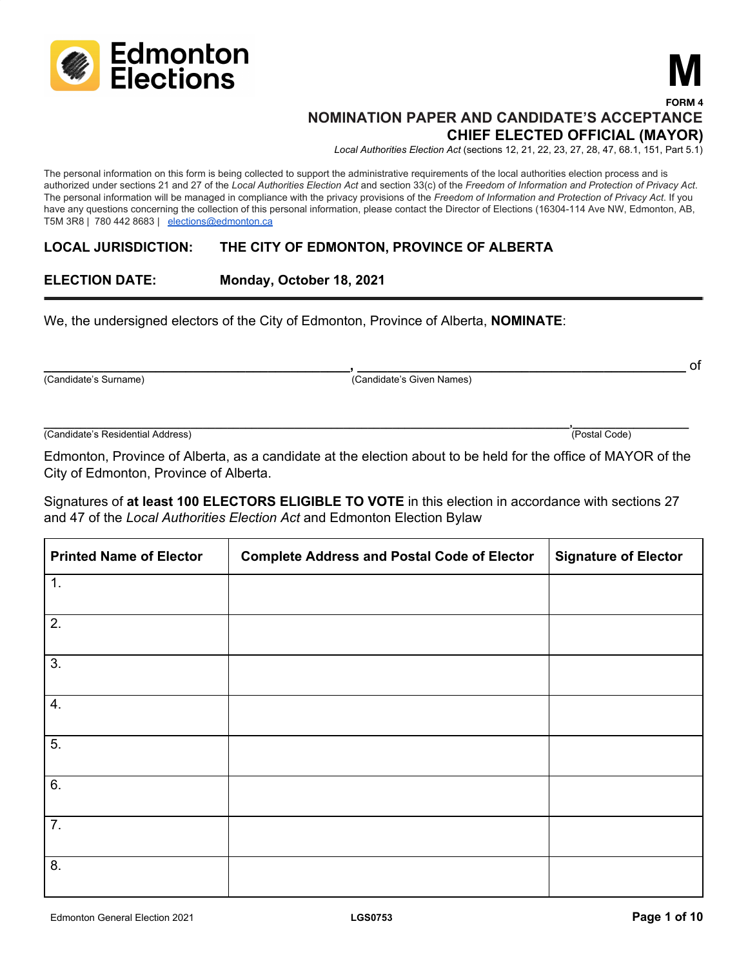

## **NOMINATION PAPER AND CANDIDATE'S ACCEPTANCE CHIEF ELECTED OFFICIAL (MAYOR)**

*Local Authorities Election Act* (sections 12, 21, 22, 23, 27, 28, 47, 68.1, 151, Part 5.1)

**M**

**FORM 4**

The personal information on this form is being collected to support the administrative requirements of the local authorities election process and is authorized under sections 21 and 27 of the Local Authorities Election Act and section 33(c) of the Freedom of Information and Protection of Privacy Act. The personal information will be managed in compliance with the privacy provisions of the *Freedom of Information and Protection of Privacy Act*. If you have any questions concerning the collection of this personal information, please contact the Director of Elections (16304-114 Ave NW, Edmonton, AB, T5M 3R8 | 780 442 8683 | [elections@edmonton.ca](mailto:elections@edmonton.ca)

#### **LOCAL JURISDICTION: THE CITY OF EDMONTON, PROVINCE OF ALBERTA**

### **ELECTION DATE: Monday, October 18, 2021**

We, the undersigned electors of the City of Edmonton, Province of Alberta, **NOMINATE**:

(Candidate's Surname) (Candidate's Given Names)

(Candidate's Residential Address) (Postal Code)

Edmonton, Province of Alberta, as a candidate at the election about to be held for the office of MAYOR of the City of Edmonton, Province of Alberta.

**\_\_\_\_\_\_\_\_\_\_\_\_\_\_\_\_\_\_\_\_\_\_\_\_\_\_\_\_\_\_\_\_\_\_\_\_\_\_\_\_\_\_\_\_\_\_\_\_\_\_\_\_\_\_\_\_\_\_\_\_\_\_\_\_\_\_\_\_\_\_\_\_\_\_\_\_\_\_\_\_\_\_\_\_\_\_,\_\_\_\_\_\_\_\_\_\_\_\_\_\_\_\_\_\_\_**

**\_\_\_\_\_\_\_\_\_\_\_\_\_\_\_\_\_\_\_\_\_\_\_\_\_\_\_\_\_\_\_\_\_\_\_\_\_\_\_\_\_, \_\_\_\_\_\_\_\_\_\_\_\_\_\_\_\_\_\_\_\_\_\_\_\_\_\_\_\_\_\_\_\_\_\_\_\_\_\_\_\_\_\_\_\_** of

| Signatures of at least 100 ELECTORS ELIGIBLE TO VOTE in this election in accordance with sections 27 |  |
|------------------------------------------------------------------------------------------------------|--|
| and 47 of the Local Authorities Election Act and Edmonton Election Bylaw                             |  |

| <b>Printed Name of Elector</b> | <b>Complete Address and Postal Code of Elector</b> | <b>Signature of Elector</b> |
|--------------------------------|----------------------------------------------------|-----------------------------|
| 1.                             |                                                    |                             |
| 2.                             |                                                    |                             |
| 3.                             |                                                    |                             |
| 4.                             |                                                    |                             |
| 5.                             |                                                    |                             |
| 6.                             |                                                    |                             |
| 7.                             |                                                    |                             |
| 8.                             |                                                    |                             |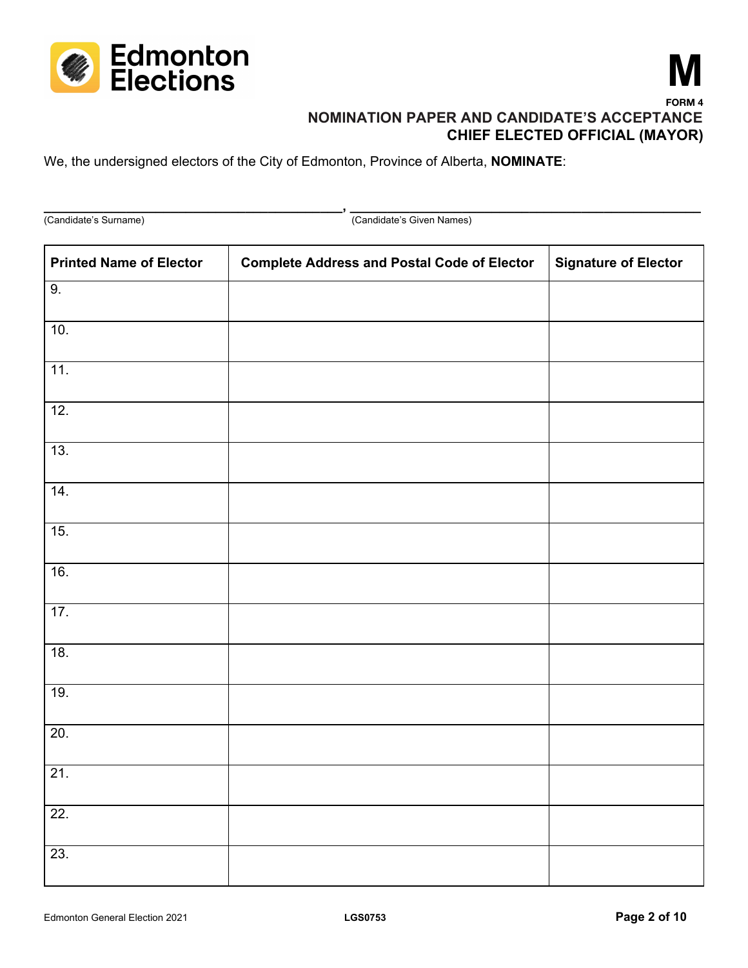



**\_\_\_\_\_\_\_\_\_\_\_\_\_\_\_\_\_\_\_\_\_\_\_\_\_\_\_\_\_\_\_\_\_\_\_\_\_\_\_\_, \_\_\_\_\_\_\_\_\_\_\_\_\_\_\_\_\_\_\_\_\_\_\_\_\_\_\_\_\_\_\_\_\_\_\_\_\_\_\_\_\_\_\_\_\_\_\_** (Candidate's Surname) (Candidate's Given Names) **Printed Name of Elector Complete Address and Postal Code of Elector Signature of Elector** 9. 10. 11. 12. 13. 14. 15. 16. 17. 18. 19. 20. 21. 22. 23.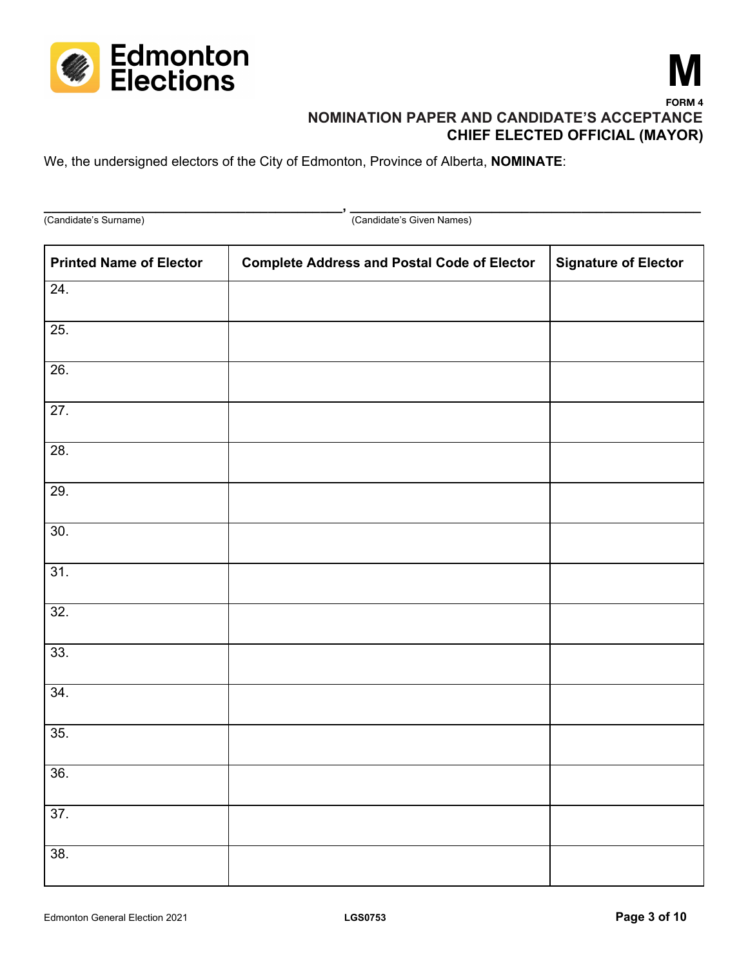



**\_\_\_\_\_\_\_\_\_\_\_\_\_\_\_\_\_\_\_\_\_\_\_\_\_\_\_\_\_\_\_\_\_\_\_\_\_\_\_\_, \_\_\_\_\_\_\_\_\_\_\_\_\_\_\_\_\_\_\_\_\_\_\_\_\_\_\_\_\_\_\_\_\_\_\_\_\_\_\_\_\_\_\_\_\_\_\_** (Candidate's Surname) (Candidate's Given Names) **Printed Name of Elector Complete Address and Postal Code of Elector Signature of Elector** 24. 25. 26. 27. 28. 29. 30. 31. 32. 33. 34. 35. 36. 37. 38.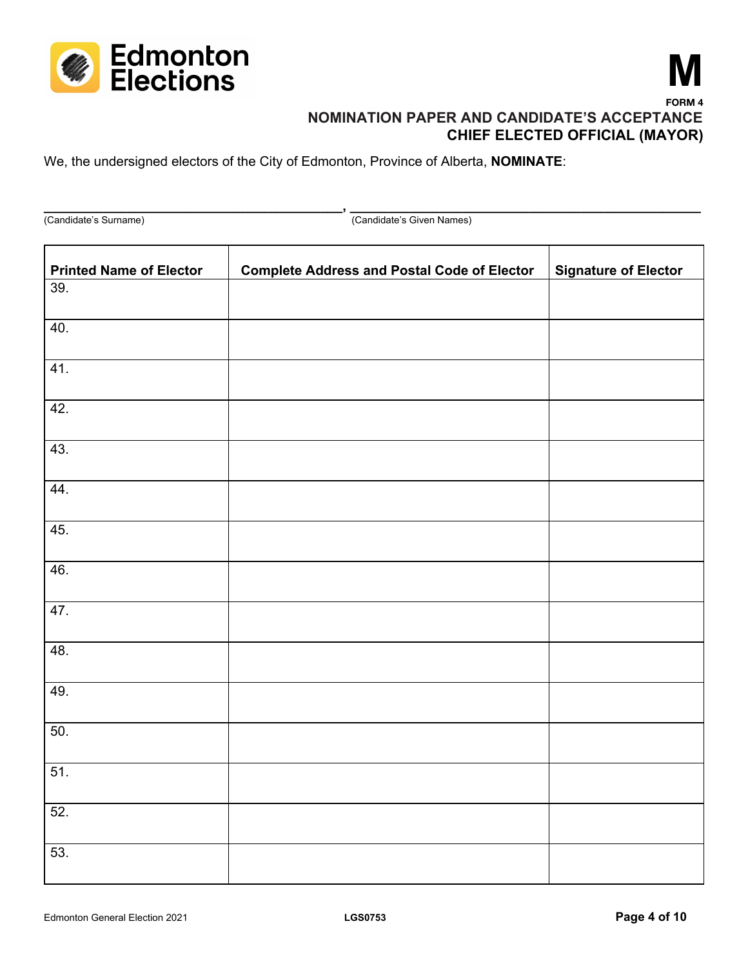



**\_\_\_\_\_\_\_\_\_\_\_\_\_\_\_\_\_\_\_\_\_\_\_\_\_\_\_\_\_\_\_\_\_\_\_\_\_\_\_\_, \_\_\_\_\_\_\_\_\_\_\_\_\_\_\_\_\_\_\_\_\_\_\_\_\_\_\_\_\_\_\_\_\_\_\_\_\_\_\_\_\_\_\_\_\_\_\_** (Candidate's Surname) (Candidate's Given Names)

| <b>Printed Name of Elector</b> | <b>Complete Address and Postal Code of Elector</b> | <b>Signature of Elector</b> |
|--------------------------------|----------------------------------------------------|-----------------------------|
| 39.                            |                                                    |                             |
| 40.                            |                                                    |                             |
| 41.                            |                                                    |                             |
| 42.                            |                                                    |                             |
| 43.                            |                                                    |                             |
| 44.                            |                                                    |                             |
| 45.                            |                                                    |                             |
| 46.                            |                                                    |                             |
| 47.                            |                                                    |                             |
| 48.                            |                                                    |                             |
| 49.                            |                                                    |                             |
| 50.                            |                                                    |                             |
| 51.                            |                                                    |                             |
| 52.                            |                                                    |                             |
| 53.                            |                                                    |                             |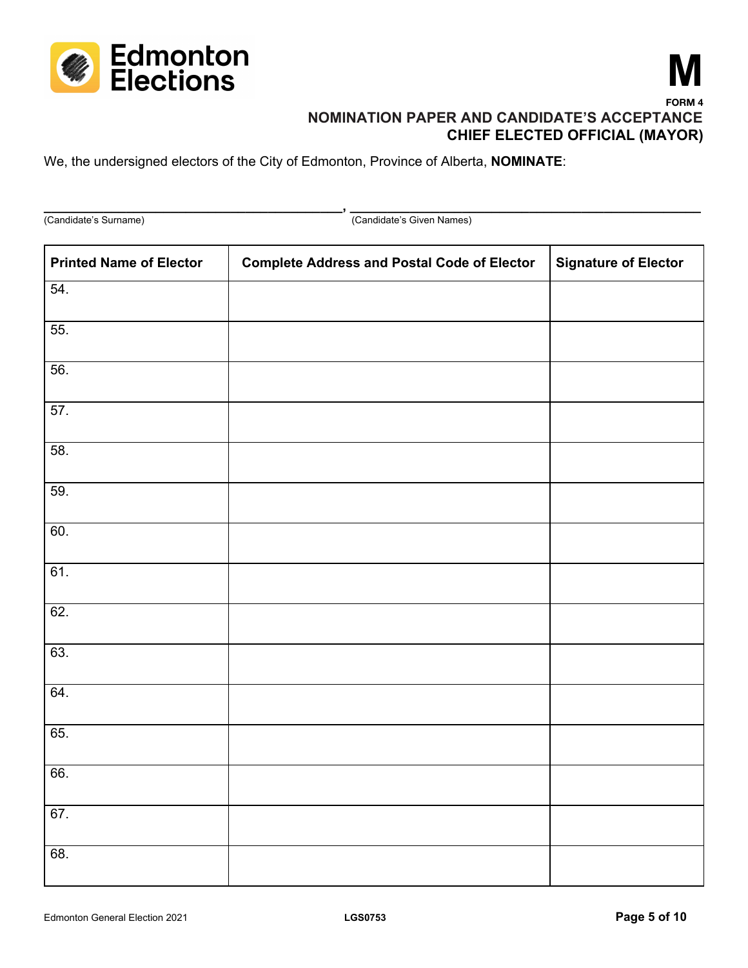



**\_\_\_\_\_\_\_\_\_\_\_\_\_\_\_\_\_\_\_\_\_\_\_\_\_\_\_\_\_\_\_\_\_\_\_\_\_\_\_\_, \_\_\_\_\_\_\_\_\_\_\_\_\_\_\_\_\_\_\_\_\_\_\_\_\_\_\_\_\_\_\_\_\_\_\_\_\_\_\_\_\_\_\_\_\_\_\_** (Candidate's Surname) (Candidate's Given Names) **Printed Name of Elector Complete Address and Postal Code of Elector Signature of Elector** 54. 55. 56. 57. 58. 59. 60. 61. 62. 63. 64. 65. 66. 67. 68.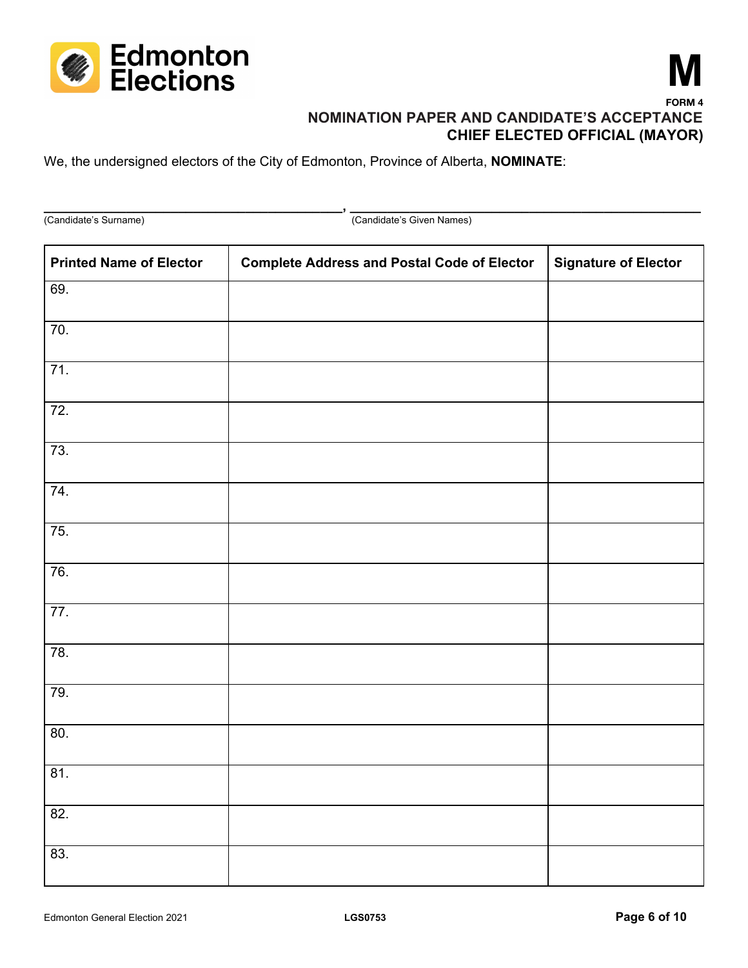



(Candidate's Surname) (Candidate's Given Names) **Printed Name of Elector Complete Address and Postal Code of Elector Signature of Elector** 69. 70. 71. 72. 73. 74. 75. 76. 77. 78. 79. 80. 81. 82. 83.

**\_\_\_\_\_\_\_\_\_\_\_\_\_\_\_\_\_\_\_\_\_\_\_\_\_\_\_\_\_\_\_\_\_\_\_\_\_\_\_\_, \_\_\_\_\_\_\_\_\_\_\_\_\_\_\_\_\_\_\_\_\_\_\_\_\_\_\_\_\_\_\_\_\_\_\_\_\_\_\_\_\_\_\_\_\_\_\_**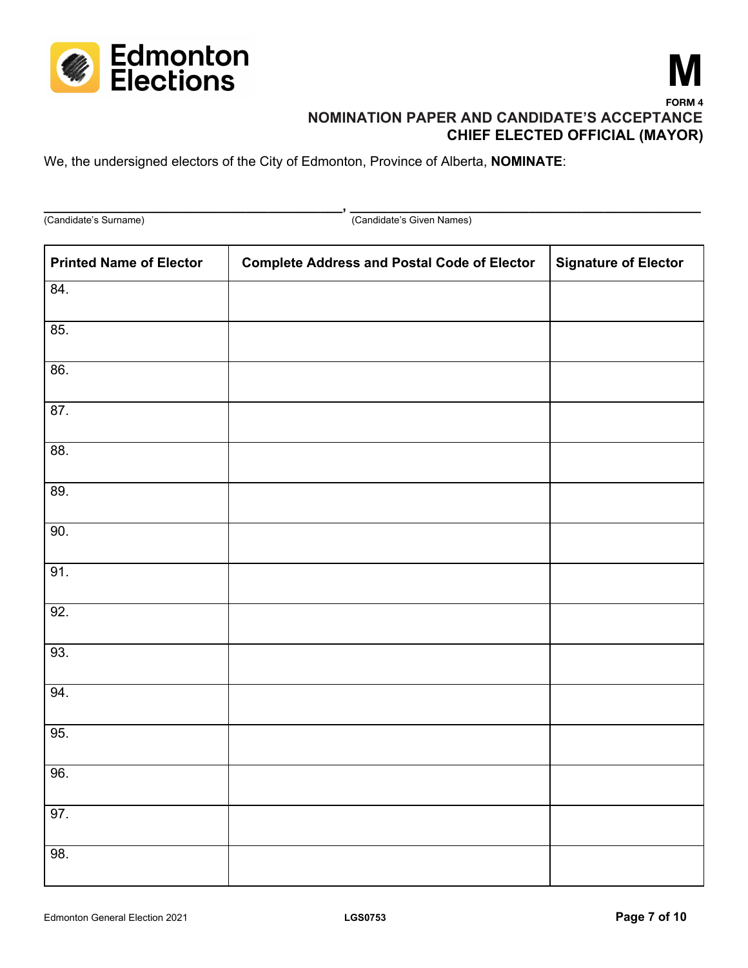



**\_\_\_\_\_\_\_\_\_\_\_\_\_\_\_\_\_\_\_\_\_\_\_\_\_\_\_\_\_\_\_\_\_\_\_\_\_\_\_\_, \_\_\_\_\_\_\_\_\_\_\_\_\_\_\_\_\_\_\_\_\_\_\_\_\_\_\_\_\_\_\_\_\_\_\_\_\_\_\_\_\_\_\_\_\_\_\_** (Candidate's Surname) (Candidate's Given Names) **Printed Name of Elector Complete Address and Postal Code of Elector Signature of Elector** 84. 85. 86. 87. 88. 89. 90. 91. 92. 93. 94. 95. 96. 97. 98.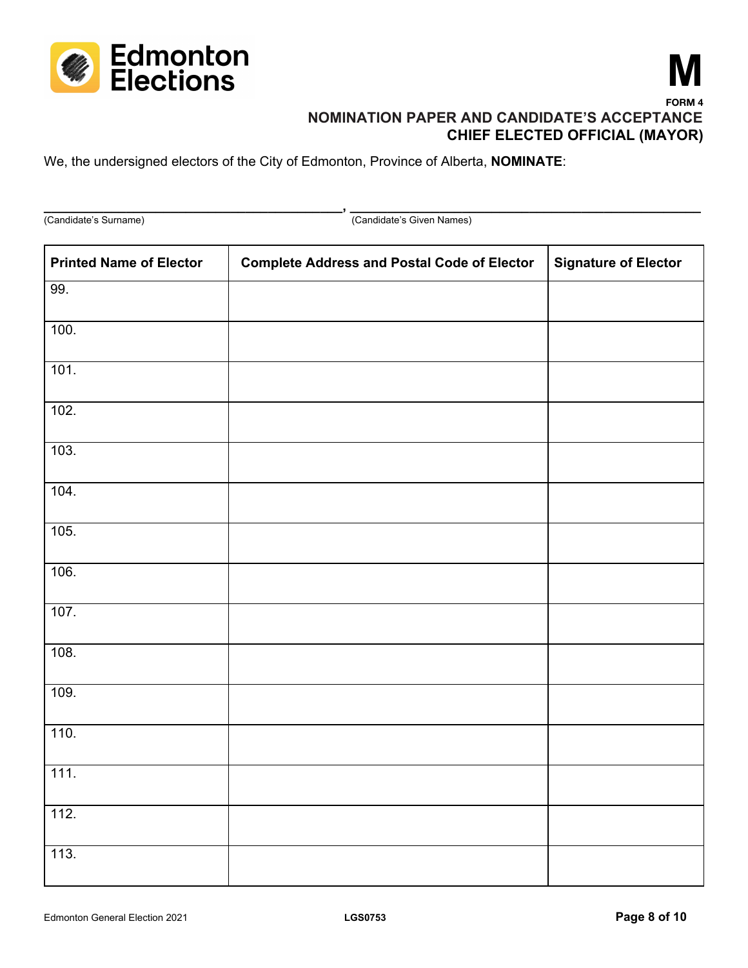



**\_\_\_\_\_\_\_\_\_\_\_\_\_\_\_\_\_\_\_\_\_\_\_\_\_\_\_\_\_\_\_\_\_\_\_\_\_\_\_\_, \_\_\_\_\_\_\_\_\_\_\_\_\_\_\_\_\_\_\_\_\_\_\_\_\_\_\_\_\_\_\_\_\_\_\_\_\_\_\_\_\_\_\_\_\_\_\_** (Candidate's Surname) (Candidate's Given Names) **Printed Name of Elector Complete Address and Postal Code of Elector Signature of Elector** 99. 100. 101. 102. 103. 104. 105. 106. 107. 108. 109. 110. 111. 112. 113.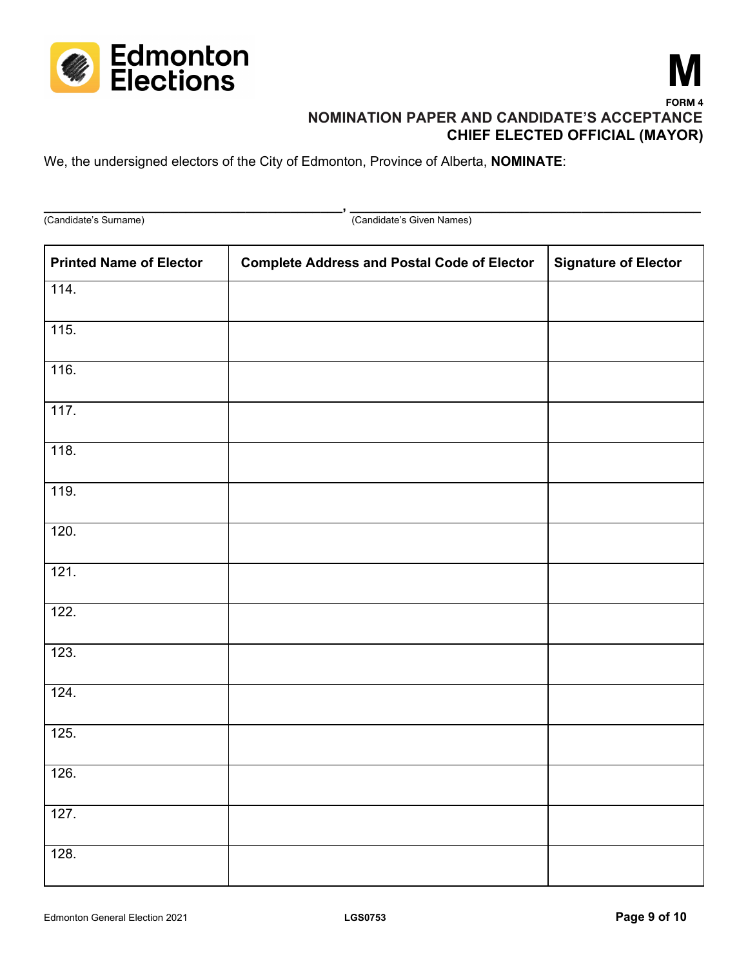



(Candidate's Surname) (Candidate's Given Names) **Printed Name of Elector Complete Address and Postal Code of Elector Signature of Elector** 114. 115. 116. 117. 118. 119. 120. 121. 122. 123. 124. 125. 126. 127. 128.

**\_\_\_\_\_\_\_\_\_\_\_\_\_\_\_\_\_\_\_\_\_\_\_\_\_\_\_\_\_\_\_\_\_\_\_\_\_\_\_\_, \_\_\_\_\_\_\_\_\_\_\_\_\_\_\_\_\_\_\_\_\_\_\_\_\_\_\_\_\_\_\_\_\_\_\_\_\_\_\_\_\_\_\_\_\_\_\_**